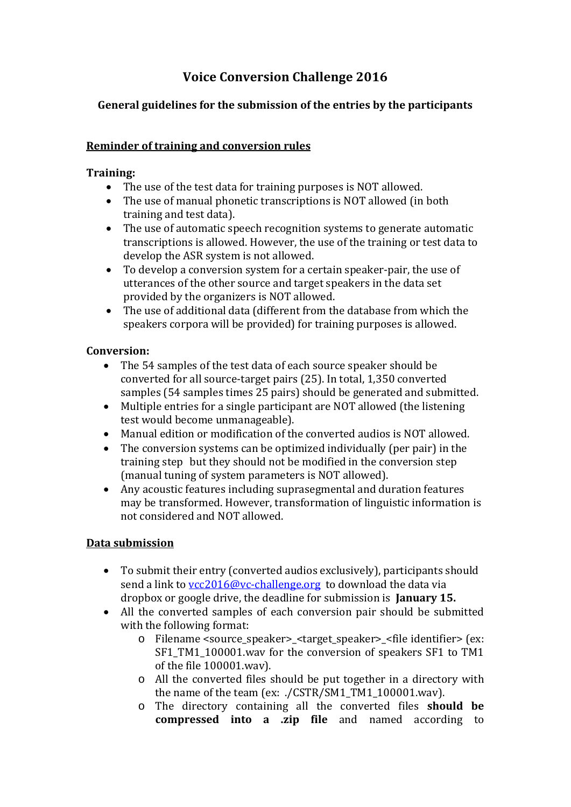# **Voice Conversion Challenge 2016**

## **General guidelines for the submission of the entries by the participants**

#### **Reminder of training and conversion rules**

#### **Training:**

- The use of the test data for training purposes is NOT allowed.
- The use of manual phonetic transcriptions is NOT allowed (in both training and test data).
- The use of automatic speech recognition systems to generate automatic transcriptions is allowed. However, the use of the training or test data to develop the ASR system is not allowed.
- To develop a conversion system for a certain speaker-pair, the use of utterances of the other source and target speakers in the data set provided by the organizers is NOT allowed.
- The use of additional data (different from the database from which the speakers corpora will be provided) for training purposes is allowed.

## **Conversion:**

- The 54 samples of the test data of each source speaker should be converted for all source-target pairs (25). In total, 1,350 converted samples (54 samples times 25 pairs) should be generated and submitted.
- $\bullet$  Multiple entries for a single participant are NOT allowed (the listening test would become unmanageable).
- Manual edition or modification of the converted audios is NOT allowed.
- The conversion systems can be optimized individually (per pair) in the training step but they should not be modified in the conversion step (manual tuning of system parameters is NOT allowed).
- Any acoustic features including suprasegmental and duration features may be transformed. However, transformation of linguistic information is not considered and NOT allowed.

### **Data submission**

- To submit their entry (converted audios exclusively), participants should send a link to  $\text{ycc2016@vc-challenge.org}$  to download the data via dropbox or google drive, the deadline for submission is January 15.
- All the converted samples of each conversion pair should be submitted with the following format:
	- o Filename <source speaker> <target speaker> <file identifier> (ex: SF1\_TM1\_100001.wav for the conversion of speakers SF1 to TM1 of the file 100001.wav).
	- $\circ$  All the converted files should be put together in a directory with the name of the team (ex:  $./CSTR/SM1$  TM1 100001.wav).
	- o The directory containing all the converted files **should be compressed into a .zip file** and named according to